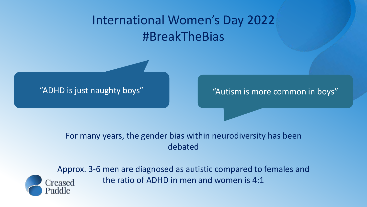# International Women's Day 2022 #BreakTheBias

"ADHD is just naughty boys" Network and "Autism is more common in boys"

#### For many years, the gender bias within neurodiversity has been debated



Approx. 3-6 men are diagnosed as autistic compared to females and the ratio of ADHD in men and women is 4:1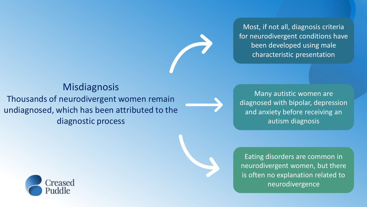Most, if not all, diagnosis criteria for neurodivergent conditions have been developed using male characteristic presentation

### **Misdiagnosis**

Thousands of neurodivergent women remain undiagnosed, which has been attributed to the diagnostic process

Many autistic women are diagnosed with bipolar, depression and anxiety before receiving an autism diagnosis

Eating disorders are common in neurodivergent women, but there is often no explanation related to neurodivergence

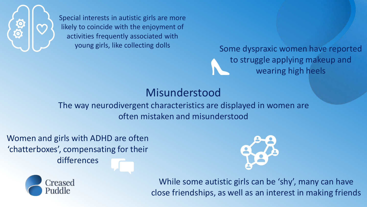

Special interests in autistic girls are more likely to coincide with the enjoyment of activities frequently associated with young girls, like collecting dolls

Some dyspraxic women have reported to struggle applying makeup and wearing high heels

## Misunderstood

The way neurodivergent characteristics are displayed in women are often mistaken and misunderstood

Women and girls with ADHD are often 'chatterboxes', compensating for their differences





While some autistic girls can be 'shy', many can have close friendships, as well as an interest in making friends